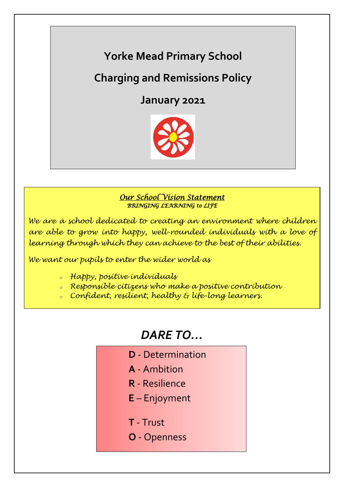# **Yorke Mead Primary School**

# **Charging and Remissions Policy**

**January 2021**



# *Our School Vision Statement BRINGING LEARNING to LIFE*

*We are a school dedicated to creating an environment where children are able to grow into happy, well-rounded individuals with a love of learning through which they can achieve to the best of their abilities.*

*We want our pupils to enter the wider world as*

- *<sup>o</sup> Happy, positive individuals*
- *<sup>o</sup> Responsible citizens who make a positive contribution*
- *<sup>o</sup> Confident, resilient, healthy & life-long learners.*

# *DARE TO…*

- **D** Determination
- **A** Ambition
- **R** Resilience
- **E** Enjoyment
- **T** Trust
- **O** Openness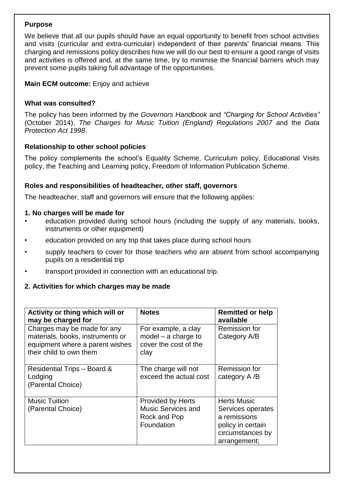#### **Purpose**

We believe that all our pupils should have an equal opportunity to benefit from school activities and visits (curricular and extra-curricular) independent of their parents' financial means. This charging and remissions policy describes how we will do our best to ensure a good range of visits and activities is offered and, at the same time, try to minimise the financial barriers which may prevent some pupils taking full advantage of the opportunities.

# **Main ECM outcome:** Enjoy and achieve

### **What was consulted?**

The policy has been informed by *the Governors Handbook* and *"Charging for School Activities"*  (October 2014), *The Charges for Music Tuition (England) Regulations 2007* and the *Data Protection Act 1998*.

#### **Relationship to other school policies**

The policy complements the school's Equality Scheme, Curriculum policy, Educational Visits policy, the Teaching and Learning policy, Freedom of Information Publication Scheme.

#### **Roles and responsibilities of headteacher, other staff, governors**

The headteacher, staff and governors will ensure that the following applies:

#### **1. No charges will be made for**

- education provided during school hours (including the supply of any materials, books, instruments or other equipment)
- education provided on any trip that takes place during school hours
- supply teachers to cover for those teachers who are absent from school accompanying pupils on a residential trip
- transport provided in connection with an educational trip.

# **2. Activities for which charges may be made**

| Activity or thing which will or<br>may be charged for                                                                         | <b>Notes</b>                                                                        | <b>Remitted or help</b><br>available                                                                             |
|-------------------------------------------------------------------------------------------------------------------------------|-------------------------------------------------------------------------------------|------------------------------------------------------------------------------------------------------------------|
| Charges may be made for any<br>materials, books, instruments or<br>equipment where a parent wishes<br>their child to own them | For example, a clay<br>$model - a charge to$<br>cover the cost of the<br>clay       | <b>Remission for</b><br>Category A/B                                                                             |
| Residential Trips - Board &<br>Lodging<br>(Parental Choice)                                                                   | The charge will not<br>exceed the actual cost                                       | <b>Remission for</b><br>category A /B                                                                            |
| <b>Music Tuition</b><br>(Parental Choice)                                                                                     | <b>Provided by Herts</b><br><b>Music Services and</b><br>Rock and Pop<br>Foundation | <b>Herts Music</b><br>Services operates<br>a remissions<br>policy in certain<br>circumstances by<br>arrangement; |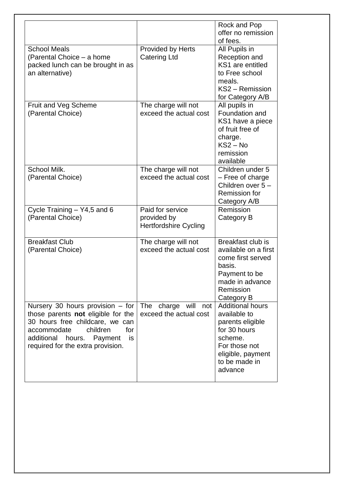| <b>School Meals</b>                                                                                                                                                                                                    | <b>Provided by Herts</b>                                        | Rock and Pop<br>offer no remission<br>of fees.                                                                                                           |
|------------------------------------------------------------------------------------------------------------------------------------------------------------------------------------------------------------------------|-----------------------------------------------------------------|----------------------------------------------------------------------------------------------------------------------------------------------------------|
| (Parental Choice - a home<br>packed lunch can be brought in as<br>an alternative)                                                                                                                                      | <b>Catering Ltd</b>                                             | All Pupils in<br>Reception and<br>KS1 are entitled<br>to Free school<br>meals.<br>KS2 - Remission<br>for Category A/B                                    |
| Fruit and Veg Scheme<br>(Parental Choice)                                                                                                                                                                              | The charge will not<br>exceed the actual cost                   | All pupils in<br>Foundation and<br>KS1 have a piece<br>of fruit free of<br>charge.<br>$KS2 - No$<br>remission<br>available                               |
| School Milk.<br>(Parental Choice)                                                                                                                                                                                      | The charge will not<br>exceed the actual cost                   | Children under 5<br>- Free of charge<br>Children over $5 -$<br>Remission for<br>Category A/B                                                             |
| Cycle Training - Y4,5 and 6<br>(Parental Choice)                                                                                                                                                                       | Paid for service<br>provided by<br><b>Hertfordshire Cycling</b> | Remission<br>Category B                                                                                                                                  |
| <b>Breakfast Club</b><br>(Parental Choice)                                                                                                                                                                             | The charge will not<br>exceed the actual cost                   | Breakfast club is<br>available on a first<br>come first served<br>basis.<br>Payment to be<br>made in advance<br>Remission<br>Category B                  |
| Nursery 30 hours provision - for<br>those parents not eligible for the<br>30 hours free childcare, we can<br>children<br>for<br>accommodate<br>additional<br>hours. Payment<br>is<br>required for the extra provision. | The<br>charge will not<br>exceed the actual cost                | <b>Additional hours</b><br>available to<br>parents eligible<br>for 30 hours<br>scheme.<br>For those not<br>eligible, payment<br>to be made in<br>advance |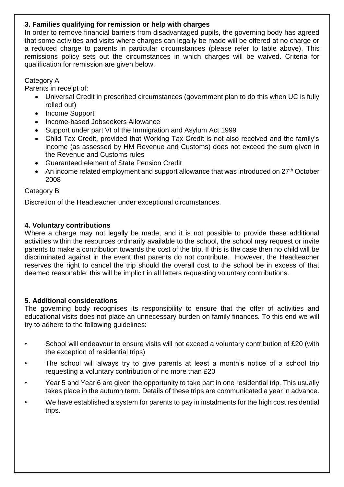# **3. Families qualifying for remission or help with charges**

In order to remove financial barriers from disadvantaged pupils, the governing body has agreed that some activities and visits where charges can legally be made will be offered at no charge or a reduced charge to parents in particular circumstances (please refer to table above). This remissions policy sets out the circumstances in which charges will be waived. Criteria for qualification for remission are given below.

### Category A

Parents in receipt of:

- Universal Credit in prescribed circumstances (government plan to do this when UC is fully rolled out)
- Income Support
- Income-based Jobseekers Allowance
- Support under part VI of the Immigration and Asylum Act 1999
- Child Tax Credit, provided that Working Tax Credit is not also received and the family's income (as assessed by HM Revenue and Customs) does not exceed the sum given in the Revenue and Customs rules
- Guaranteed element of State Pension Credit
- $\bullet$  An income related employment and support allowance that was introduced on 27<sup>th</sup> October 2008

# Category B

Discretion of the Headteacher under exceptional circumstances.

#### **4. Voluntary contributions**

Where a charge may not legally be made, and it is not possible to provide these additional activities within the resources ordinarily available to the school, the school may request or invite parents to make a contribution towards the cost of the trip. If this is the case then no child will be discriminated against in the event that parents do not contribute. However, the Headteacher reserves the right to cancel the trip should the overall cost to the school be in excess of that deemed reasonable: this will be implicit in all letters requesting voluntary contributions.

# **5. Additional considerations**

The governing body recognises its responsibility to ensure that the offer of activities and educational visits does not place an unnecessary burden on family finances. To this end we will try to adhere to the following guidelines:

- School will endeavour to ensure visits will not exceed a voluntary contribution of £20 (with the exception of residential trips)
- The school will always try to give parents at least a month's notice of a school trip requesting a voluntary contribution of no more than £20
- Year 5 and Year 6 are given the opportunity to take part in one residential trip. This usually takes place in the autumn term. Details of these trips are communicated a year in advance.
- We have established a system for parents to pay in instalments for the high cost residential trips.